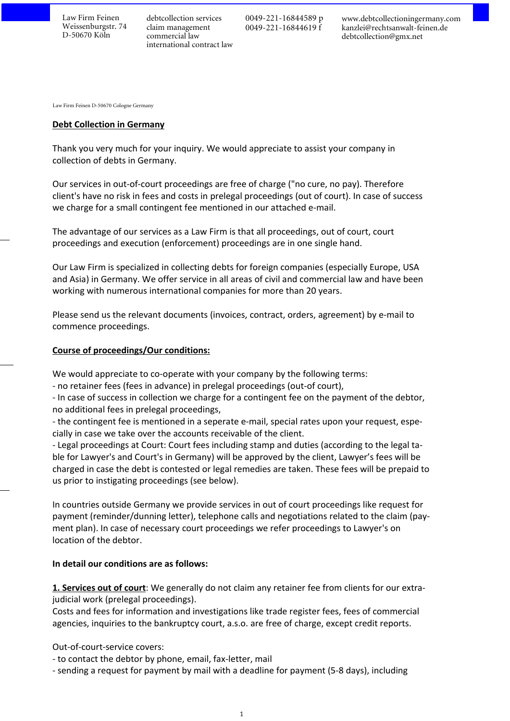Law Firm Feinen Weissenburgstr. 74 D-50670 Köln

debtcollection services claim management commercial law international contract law 0049-221-16844589 p 0049-221-16844619 f

[www.debtcollectioningermany.com](http://www.debtcollectioningermany.com) [kanzlei@rechtsanwalt-feinen.de](mailto:kanzlei@rechtsanwalt-feinen.de) [debtcollection@gmx.net](mailto:debtcollection@gmx.net)

Law Firm Feinen D-50670 Cologne Germany

#### **Debt Collection in Germany**

Thank you very much for your inquiry. We would appreciate to assist your company in collection of debts in Germany.

Our services in out-of-court proceedings are free of charge ("no cure, no pay). Therefore client's have no risk in fees and costs in prelegal proceedings (out of court). In case of success we charge for a small contingent fee mentioned in our attached e-mail.

The advantage of our services as a Law Firm is that all proceedings, out of court, court proceedings and execution (enforcement) proceedings are in one single hand.

Our Law Firm is specialized in collecting debts for foreign companies (especially Europe, USA and Asia) in Germany. We offer service in all areas of civil and commercial law and have been working with numerous international companies for more than 20 years.

Please send us the relevant documents (invoices, contract, orders, agreement) by e-mail to commence proceedings.

### **Course of proceedings/Our conditions:**

We would appreciate to co-operate with your company by the following terms:

- no retainer fees (fees in advance) in prelegal proceedings (out-of court),

- In case of success in collection we charge for a contingent fee on the payment of the debtor, no additional fees in prelegal proceedings,

- the contingent fee is mentioned in a seperate e-mail, special rates upon your request, especially in case we take over the accounts receivable of the client.

- Legal proceedings at Court: Court fees including stamp and duties (according to the legal table for Lawyer's and Court's in Germany) will be approved by the client, Lawyer's fees will be charged in case the debt is contested or legal remedies are taken. These fees will be prepaid to us prior to instigating proceedings (see below).

In countries outside Germany we provide services in out of court proceedings like request for pay ment (reminder/dunning letter), telephone calls and negotiations related to the claim (payment plan). In case of necessary court proceedings we refer proceedings to Lawyer's on location of the debtor.

### **In detail our conditions are as follows:**

1. Services out of court: We generally do not claim any retainer fee from clients for our extrajudicial work (prelegal proceedings).

Costs and fees for information and investigations like trade register fees, fees of commercial agencies, inquiries to the bankruptcy court, a.s.o. are free of charge, except credit reports.

Out-of-court-service covers:

- to contact the debtor by phone, email, fax-letter, mail

- sending a request for payment by mail with a deadline for payment (5-8 days), including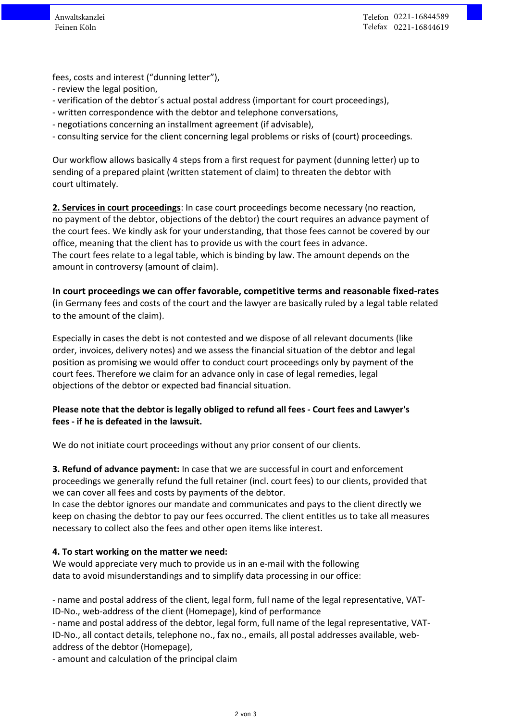fees, costs and interest ("dunning letter"),

- review the legal position,
- verification of the debtor´s actual postal address (important for court proceedings),
- written correspondence with the debtor and telephone conversations,
- negotiations concerning an installment agreement (if advisable),
- consulting service for the client concerning legal problems or risks of (court) proceedings.

Our workflow allows basically 4 steps from a first request for payment (dunning letter) up to sending of a prepared plaint (written statement of claim) to threaten the debtor with court ultimately.

**2. Services in court proceedings**: In case court proceedings become necessary (no reaction, no payment of the debtor, objections of the debtor) the court requires an advance payment of the court fees. We kindly ask for your understanding, that those fees cannot be covered by our office, meaning that the client has to provide us with the court fees in advance. The court fees relate to a legal table, which is binding by law. The amount depends on the amount in controversy (amount of claim).

**In court proceedings we can offer favorable, competitive terms and reasonable fixed-rates** (in Germany fees and costs of the court and the lawyer are basically ruled by a legal table related to the amount of the claim).

Especially in cases the debt is not contested and we dispose of all relevant documents (like order, invoices, delivery notes) and we assess the financial situation of the debtor and legal position as promising we would offer to conduct court proceedings only by payment of the court fees. Therefore we claim for an advance only in case of legal remedies, legal objections of the debtor or expected bad financial situation.

# **Please note that the debtor is legally obliged to refund all fees - Court fees and Lawyer's fees - if he is defeated in the lawsuit.**

We do not initiate court proceedings without any prior consent of our clients.

**3. Refund of advance payment:** In case that we are successful in court and enforcement proceedings we generally refund the full retainer (incl. court fees) to our clients, provided that we can cover all fees and costs by payments of the debtor.

In case the debtor ignores our mandate and communicates and pays to the client directly we keep on chasing the debtor to pay our fees occurred. The client entitles us to take all measures necessary to collect also the fees and other open items like interest.

# **4. To start working on the matter we need:**

We would appreciate very much to provide us in an e-mail with the following data to avoid misunderstandings and to simplify data processing in our office:

- name and postal address of the client, legal form, full name of the legal representative, VAT-ID-No., web-address of the client (Homepage), kind of performance

- name and postal address of the debtor, legal form, full name of the legal representative, VAT-ID-No., all contact details, telephone no., fax no., emails, all postal addresses available, webaddress of the debtor (Homepage),

- amount and calculation of the principal claim